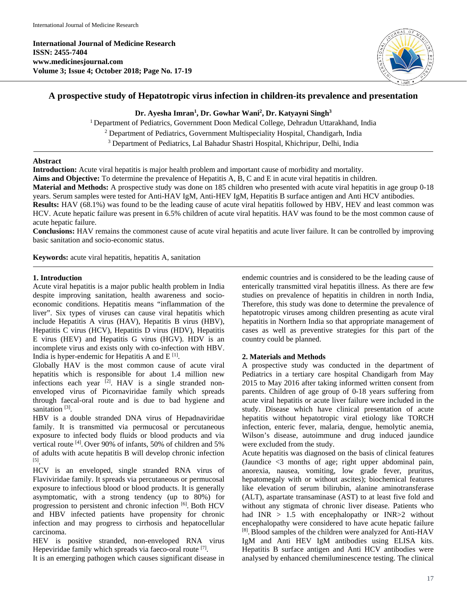**International Journal of Medicine Research ISSN: 2455-7404 www.medicinesjournal.com Volume 3; Issue 4; October 2018; Page No. 17-19**



# **A prospective study of Hepatotropic virus infection in children-its prevalence and presentation**

**Dr. Ayesha Imran1 , Dr. Gowhar Wani2 , Dr. Katyayni Singh3**

<sup>1</sup> Department of Pediatrics, Government Doon Medical College, Dehradun Uttarakhand, India  $2$  Department of Pediatrics, Government Multispeciality Hospital, Chandigarh, India <sup>3</sup> Department of Pediatrics, Lal Bahadur Shastri Hospital, Khichripur, Delhi, India

## **Abstract**

**Introduction:** Acute viral hepatitis is major health problem and important cause of morbidity and mortality.

**Aims and Objective:** To determine the prevalence of Hepatitis A, B, C and E in acute viral hepatitis in children.

**Material and Methods:** A prospective study was done on 185 children who presented with acute viral hepatitis in age group 0-18 years. Serum samples were tested for Anti-HAV IgM, Anti-HEV IgM, Hepatitis B surface antigen and Anti HCV antibodies.

**Results:** HAV (68.1%) was found to be the leading cause of acute viral hepatitis followed by HBV, HEV and least common was HCV. Acute hepatic failure was present in 6.5% children of acute viral hepatitis. HAV was found to be the most common cause of acute hepatic failure.

**Conclusions:** HAV remains the commonest cause of acute viral hepatitis and acute liver failure. It can be controlled by improving basic sanitation and socio-economic status.

**Keywords:** acute viral hepatitis, hepatitis A, sanitation

## **1. Introduction**

Acute viral hepatitis is a major public health problem in India despite improving sanitation, health awareness and socioeconomic conditions. Hepatitis means "inflammation of the liver". Six types of viruses can cause viral hepatitis which include Hepatitis A virus (HAV), Hepatitis B virus (HBV), Hepatitis C virus (HCV), Hepatitis D virus (HDV), Hepatitis E virus (HEV) and Hepatitis G virus (HGV). HDV is an incomplete virus and exists only with co-infection with HBV. India is hyper-endemic for Hepatitis A and  $E^{[1]}$ .

Globally HAV is the most common cause of acute viral hepatitis which is responsible for about 1.4 million new infections each year  $^{[2]}$ . HAV is a single stranded nonenveloped virus of Picornaviridae family which spreads through faecal-oral route and is due to bad hygiene and sanitation  $[3]$ .

HBV is a double stranded DNA virus of Hepadnaviridae family. It is transmitted via permucosal or percutaneous exposure to infected body fluids or blood products and via vertical route [4]. Over 90% of infants, 50% of children and 5% of adults with acute hepatitis B will develop chronic infection [5].

HCV is an enveloped, single stranded RNA virus of Flaviviridae family. It spreads via percutaneous or permucosal exposure to infectious blood or blood products. It is generally asymptomatic, with a strong tendency (up to 80%) for progression to persistent and chronic infection [6]. Both HCV and HBV infected patients have propensity for chronic infection and may progress to cirrhosis and hepatocellular carcinoma.

HEV is positive stranded, non-enveloped RNA virus Hepeviridae family which spreads via faeco-oral route [7].

It is an emerging pathogen which causes significant disease in

endemic countries and is considered to be the leading cause of enterically transmitted viral hepatitis illness. As there are few studies on prevalence of hepatitis in children in north India, Therefore, this study was done to determine the prevalence of hepatotropic viruses among children presenting as acute viral hepatitis in Northern India so that appropriate management of cases as well as preventive strategies for this part of the country could be planned.

## **2. Materials and Methods**

A prospective study was conducted in the department of Pediatrics in a tertiary care hospital Chandigarh from May 2015 to May 2016 after taking informed written consent from parents. Children of age group of 0-18 years suffering from acute viral hepatitis or acute liver failure were included in the study. Disease which have clinical presentation of acute hepatitis without hepatotropic viral etiology like TORCH infection, enteric fever, malaria, dengue, hemolytic anemia, Wilson's disease, autoimmune and drug induced jaundice were excluded from the study.

Acute hepatitis was diagnosed on the basis of clinical features (Jaundice <3 months of age; right upper abdominal pain, anorexia, nausea, vomiting, low grade fever, pruritus, hepatomegaly with or without ascites); biochemical features like elevation of serum bilirubin, alanine aminotransferase (ALT), aspartate transaminase (AST) to at least five fold and without any stigmata of chronic liver disease. Patients who had INR > 1.5 with encephalopathy or INR>2 without encephalopathy were considered to have acute hepatic failure [8]. Blood samples of the children were analyzed for Anti-HAV IgM and Anti HEV IgM antibodies using ELISA kits. Hepatitis B surface antigen and Anti HCV antibodies were analysed by enhanced chemiluminescence testing. The clinical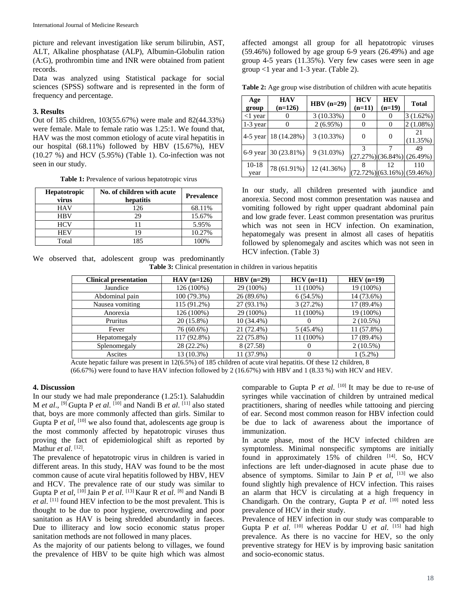picture and relevant investigation like serum bilirubin, AST, ALT, Alkaline phosphatase (ALP), Albumin-Globulin ration (A:G), prothrombin time and INR were obtained from patient records.

Data was analyzed using Statistical package for social sciences (SPSS) software and is represented in the form of frequency and percentage.

### **3. Results**

Out of 185 children, 103(55.67%) were male and 82(44.33%) were female. Male to female ratio was 1.25:1. We found that, HAV was the most common etiology of acute viral hepatitis in our hospital (68.11%) followed by HBV (15.67%), HEV  $(10.27 \%)$  and HCV  $(5.95\%)$  (Table 1). Co-infection was not seen in our study.

**Table 1:** Prevalence of various hepatotropic virus

| <b>Hepatotropic</b><br>virus | No. of children with acute<br>hepatitis | <b>Prevalence</b> |
|------------------------------|-----------------------------------------|-------------------|
| <b>HAV</b>                   | 126                                     | 68.11%            |
| <b>HBV</b>                   | 29                                      | 15.67%            |
| <b>HCV</b>                   |                                         | 5.95%             |
| <b>HEV</b>                   | 19                                      | 10.27%            |
| Total                        | 185                                     | 100%              |

affected amongst all group for all hepatotropic viruses (59.46%) followed by age group 6-9 years (26.49%) and age group 4-5 years (11.35%). Very few cases were seen in age group <1 year and 1-3 year. (Table 2).

**Table 2:** Age group wise distribution of children with acute hepatitis

| Age<br>group    | <b>HAV</b><br>$(n=126)$ | $HBV$ (n=29) | <b>HCV</b><br>$(n=11)$ | <b>HEV</b><br>$(n=19)$ | <b>Total</b>                               |
|-----------------|-------------------------|--------------|------------------------|------------------------|--------------------------------------------|
| $<$ 1 year      |                         | 3(10.33%)    |                        |                        | 3(1.62%)                                   |
| $1-3$ year      |                         | 2(6.95%)     |                        |                        | $2(1.08\%)$                                |
| $4-5$ year      | 18 (14.28%)             | 3(10.33%)    |                        |                        | 21<br>(11.35%)                             |
| $6-9$ year      | $30(23.81\%)$           | 9(31.03%)    |                        |                        | 49<br>$(27.27%)$ $(36.84%)$ $(26.49%)$     |
| $10-18$<br>year | 78 (61.91%)             | 12 (41.36%)  |                        |                        | 110<br>$(72.72\%)$ $(63.16\%)$ $(59.46\%)$ |

In our study, all children presented with jaundice and anorexia. Second most common presentation was nausea and vomiting followed by right upper quadrant abdominal pain and low grade fever. Least common presentation was pruritus which was not seen in HCV infection. On examination, hepatomegaly was present in almost all cases of hepatitis followed by splenomegaly and ascites which was not seen in HCV infection. (Table 3)

We observed that, adolescent group was predominantly

|  | <b>Table 3:</b> Clinical presentation in children in various hepatitis |  |  |  |
|--|------------------------------------------------------------------------|--|--|--|

| <b>Clinical presentation</b> | $HAV (n=126)$ | $HBV$ (n=29) | $HCV (n=11)$ | $HEV$ (n=19) |
|------------------------------|---------------|--------------|--------------|--------------|
| Jaundice                     | 126 (100%)    | 29 (100%)    | 11 (100%)    | 19 (100%)    |
| Abdominal pain               | 100 (79.3%)   | 26 (89.6%)   | 6(54.5%)     | 14 (73.6%)   |
| Nausea vomiting              | 115 (91.2%)   | 27 (93.1%)   | 3(27.2%)     | 17 (89.4%)   |
| Anorexia                     | 126 (100%)    | 29 (100%)    | 11 (100%)    | 19 (100%)    |
| Pruritus                     | $20(15.8\%)$  | $10(34.4\%)$ |              | $2(10.5\%)$  |
| Fever                        | 76 (60.6%)    | 21 (72.4%)   | $5(45.4\%)$  | 11 (57.8%)   |
| Hepatomegaly                 | 117 (92.8%)   | 22 (75.8%)   | 11 (100%)    | 17 (89.4%)   |
| Splenomegaly                 | 28 (22.2%)    | 8 (27.58)    |              | $2(10.5\%)$  |
| Ascites                      | 13 (10.3%)    | 11 (37.9%)   |              | $1(5.2\%)$   |

Acute hepatic failure was present in 12(6.5%) of 185 children of acute viral hepatitis. Of these 12 children, 8 (66.67%) were found to have HAV infection followed by 2 (16.67%) with HBV and 1 (8.33 %) with HCV and HEV.

#### **4. Discussion**

In our study we had male preponderance (1.25:1). Salahuddin M *et al*., [9] Gupta P *et al*. [10] and Nandi B *et al*. [11] also stated that, boys are more commonly affected than girls. Similar to Gupta P *et al*, <sup>[10]</sup> we also found that, adolescents age group is the most commonly affected by hepatotropic viruses thus proving the fact of epidemiological shift as reported by Mathur *et al.* [12].

The prevalence of hepatotropic virus in children is varied in different areas. In this study, HAV was found to be the most common cause of acute viral hepatitis followed by HBV, HEV and HCV. The prevalence rate of our study was similar to Gupta P *et al*, [10] Jain P *et al*. [13] Kaur R *et al*. [8] and Nandi B *et al*. [11] found HEV infection to be the most prevalent. This is thought to be due to poor hygiene, overcrowding and poor sanitation as HAV is being shredded abundantly in faeces. Due to illiteracy and low socio economic status proper sanitation methods are not followed in many places.

As the majority of our patients belong to villages, we found the prevalence of HBV to be quite high which was almost comparable to Gupta P *et al.* [10] It may be due to re-use of syringes while vaccination of children by untrained medical practitioners, sharing of needles while tattooing and piercing of ear. Second most common reason for HBV infection could be due to lack of awareness about the importance of immunization.

In acute phase, most of the HCV infected children are symptomless. Minimal nonspecific symptoms are initially found in approximately  $15\%$  of children  $[14]$ . So, HCV infections are left under-diagnosed in acute phase due to absence of symptoms. Similar to Jain P  $et \ al$ ,  $[13]$  we also found slightly high prevalence of HCV infection. This raises an alarm that HCV is circulating at a high frequency in Chandigarh. On the contrary, Gupta P *et al.* [10] noted less prevalence of HCV in their study.

Prevalence of HEV infection in our study was comparable to Gupta P *et al.* [10] whereas Poddar U *et al.* [15] had high prevalence. As there is no vaccine for HEV, so the only preventive strategy for HEV is by improving basic sanitation and socio-economic status.